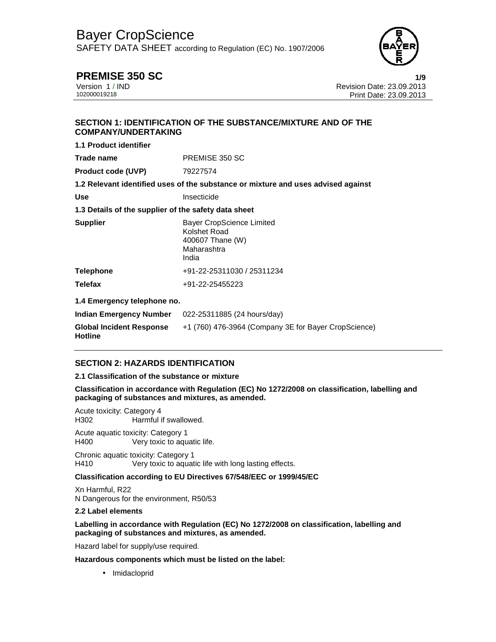SAFETY DATA SHEET according to Regulation (EC) No. 1907/2006



**PREMISE 350 SC** 1/9<br>Version 1/IND Version 1/IND Version 1 / IND Revision Date: 23.09.2013 Print Date: 23.09.2013

# **SECTION 1: IDENTIFICATION OF THE SUBSTANCE/MIXTURE AND OF THE COMPANY/UNDERTAKING**

| <b>1.1 Product identifier</b>                        |                                                                                              |  |  |
|------------------------------------------------------|----------------------------------------------------------------------------------------------|--|--|
| Trade name                                           | PREMISE 350 SC                                                                               |  |  |
| <b>Product code (UVP)</b>                            | 79227574                                                                                     |  |  |
|                                                      | 1.2 Relevant identified uses of the substance or mixture and uses advised against            |  |  |
| <b>Use</b>                                           | Insecticide                                                                                  |  |  |
| 1.3 Details of the supplier of the safety data sheet |                                                                                              |  |  |
| <b>Supplier</b>                                      | <b>Bayer CropScience Limited</b><br>Kolshet Road<br>400607 Thane (W)<br>Maharashtra<br>India |  |  |
| <b>Telephone</b>                                     | +91-22-25311030 / 25311234                                                                   |  |  |
| <b>Telefax</b>                                       | +91-22-25455223                                                                              |  |  |
| 1.4 Emergency telephone no.                          |                                                                                              |  |  |
| Indian Emergency Number                              | 022-25311885 (24 hours/day)                                                                  |  |  |
| <b>Global Incident Response</b><br><b>Hotline</b>    | +1 (760) 476-3964 (Company 3E for Bayer CropScience)                                         |  |  |

# **SECTION 2: HAZARDS IDENTIFICATION**

#### **2.1 Classification of the substance or mixture**

**Classification in accordance with Regulation (EC) No 1272/2008 on classification, labelling and packaging of substances and mixtures, as amended.** 

Acute toxicity: Category 4 H302 Harmful if swallowed.

Acute aquatic toxicity: Category 1 H400 Very toxic to aquatic life.

Chronic aquatic toxicity: Category 1 H410 Very toxic to aquatic life with long lasting effects.

## **Classification according to EU Directives 67/548/EEC or 1999/45/EC**

Xn Harmful, R22 N Dangerous for the environment, R50/53

#### **2.2 Label elements**

#### **Labelling in accordance with Regulation (EC) No 1272/2008 on classification, labelling and packaging of substances and mixtures, as amended.**

Hazard label for supply/use required.

**Hazardous components which must be listed on the label:**

• Imidacloprid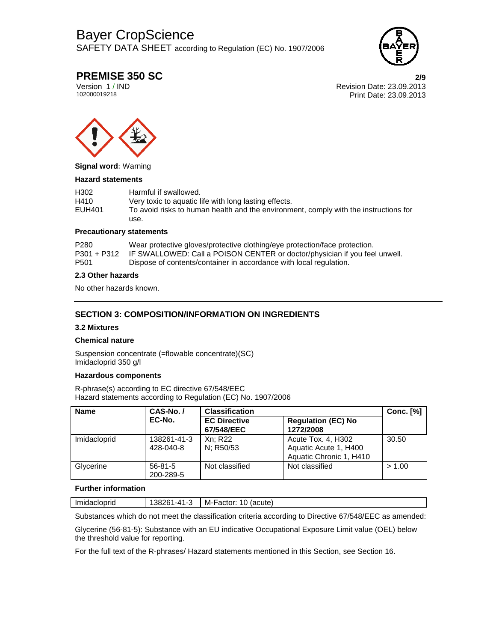SAFETY DATA SHEET according to Regulation (EC) No. 1907/2006



# **PREMISE 350 SC 2/9**

Version 1 / IND Revision Date: 23.09.2013 Print Date: 23.09.2013



**Signal word:** Warning

#### **Hazard statements**

| H <sub>302</sub> | Harmful if swallowed.                                                                |
|------------------|--------------------------------------------------------------------------------------|
| H410             | Very toxic to aquatic life with long lasting effects.                                |
| EUH401           | To avoid risks to human health and the environment, comply with the instructions for |
|                  | use.                                                                                 |

#### **Precautionary statements**

| P280 | Wear protective gloves/protective clothing/eye protection/face protection.             |
|------|----------------------------------------------------------------------------------------|
|      | P301 + P312 IF SWALLOWED: Call a POISON CENTER or doctor/physician if you feel unwell. |
| P501 | Dispose of contents/container in accordance with local regulation.                     |

#### **2.3 Other hazards**

No other hazards known.

# **SECTION 3: COMPOSITION/INFORMATION ON INGREDIENTS**

#### **3.2 Mixtures**

#### **Chemical nature**

Suspension concentrate (=flowable concentrate)(SC) Imidacloprid 350 g/l

### **Hazardous components**

R-phrase(s) according to EC directive 67/548/EEC Hazard statements according to Regulation (EC) No. 1907/2006

| <b>Name</b>  | CAS-No./                   | <b>Classification</b>             |                                                                        | Conc. $[\%]$ |
|--------------|----------------------------|-----------------------------------|------------------------------------------------------------------------|--------------|
|              | EC-No.                     | <b>EC Directive</b><br>67/548/EEC | <b>Regulation (EC) No</b><br>1272/2008                                 |              |
| Imidacloprid | 138261-41-3<br>428-040-8   | Xn: R22<br>N; R50/53              | Acute Tox. 4, H302<br>Aquatic Acute 1, H400<br>Aquatic Chronic 1, H410 | 30.50        |
| Glycerine    | $56 - 81 - 5$<br>200-289-5 | Not classified                    | Not classified                                                         | > 1.00       |

### **Further information**

| Imidacioprid | л - 1<br>ハ<br>.<br>`<br>⊍∪∽ | (acute)<br>M-<br>Factor. |
|--------------|-----------------------------|--------------------------|
|              |                             |                          |

Substances which do not meet the classification criteria according to Directive 67/548/EEC as amended:

Glycerine (56-81-5): Substance with an EU indicative Occupational Exposure Limit value (OEL) below the threshold value for reporting.

For the full text of the R-phrases/ Hazard statements mentioned in this Section, see Section 16.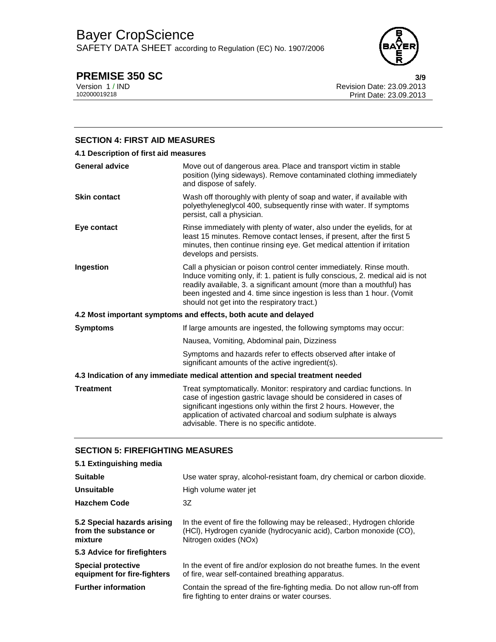SAFETY DATA SHEET according to Regulation (EC) No. 1907/2006



**PREMISE 350 SC** 3/9<br>Version 1/IND 3/9 Version 1 / IND Revision Date: 23.09.2013 Print Date: 23.09.2013

# **SECTION 4: FIRST AID MEASURES**

| 4.1 Description of first aid measures                                          |                                                                                                                                                                                                                                                                                                                                                        |  |
|--------------------------------------------------------------------------------|--------------------------------------------------------------------------------------------------------------------------------------------------------------------------------------------------------------------------------------------------------------------------------------------------------------------------------------------------------|--|
| <b>General advice</b>                                                          | Move out of dangerous area. Place and transport victim in stable<br>position (lying sideways). Remove contaminated clothing immediately<br>and dispose of safely.                                                                                                                                                                                      |  |
| <b>Skin contact</b>                                                            | Wash off thoroughly with plenty of soap and water, if available with<br>polyethyleneglycol 400, subsequently rinse with water. If symptoms<br>persist, call a physician.                                                                                                                                                                               |  |
| Eye contact                                                                    | Rinse immediately with plenty of water, also under the eyelids, for at<br>least 15 minutes. Remove contact lenses, if present, after the first 5<br>minutes, then continue rinsing eye. Get medical attention if irritation<br>develops and persists.                                                                                                  |  |
| Ingestion                                                                      | Call a physician or poison control center immediately. Rinse mouth.<br>Induce vomiting only, if: 1. patient is fully conscious, 2. medical aid is not<br>readily available, 3. a significant amount (more than a mouthful) has<br>been ingested and 4. time since ingestion is less than 1 hour. (Vomit<br>should not get into the respiratory tract.) |  |
|                                                                                | 4.2 Most important symptoms and effects, both acute and delayed                                                                                                                                                                                                                                                                                        |  |
| <b>Symptoms</b>                                                                | If large amounts are ingested, the following symptoms may occur:                                                                                                                                                                                                                                                                                       |  |
|                                                                                | Nausea, Vomiting, Abdominal pain, Dizziness                                                                                                                                                                                                                                                                                                            |  |
|                                                                                | Symptoms and hazards refer to effects observed after intake of<br>significant amounts of the active ingredient(s).                                                                                                                                                                                                                                     |  |
| 4.3 Indication of any immediate medical attention and special treatment needed |                                                                                                                                                                                                                                                                                                                                                        |  |
| <b>Treatment</b>                                                               | Treat symptomatically. Monitor: respiratory and cardiac functions. In<br>case of ingestion gastric lavage should be considered in cases of<br>significant ingestions only within the first 2 hours. However, the<br>application of activated charcoal and sodium sulphate is always<br>advisable. There is no specific antidote.                       |  |

# **SECTION 5: FIREFIGHTING MEASURES**

| 5.1 Extinguishing media                                         |                                                                                                                                                                      |
|-----------------------------------------------------------------|----------------------------------------------------------------------------------------------------------------------------------------------------------------------|
| <b>Suitable</b>                                                 | Use water spray, alcohol-resistant foam, dry chemical or carbon dioxide.                                                                                             |
| Unsuitable                                                      | High volume water jet                                                                                                                                                |
| <b>Hazchem Code</b>                                             | 3Z                                                                                                                                                                   |
| 5.2 Special hazards arising<br>from the substance or<br>mixture | In the event of fire the following may be released:, Hydrogen chloride<br>(HCI), Hydrogen cyanide (hydrocyanic acid), Carbon monoxide (CO),<br>Nitrogen oxides (NOx) |
| 5.3 Advice for firefighters                                     |                                                                                                                                                                      |
| <b>Special protective</b><br>equipment for fire-fighters        | In the event of fire and/or explosion do not breathe fumes. In the event<br>of fire, wear self-contained breathing apparatus.                                        |
| <b>Further information</b>                                      | Contain the spread of the fire-fighting media. Do not allow run-off from<br>fire fighting to enter drains or water courses.                                          |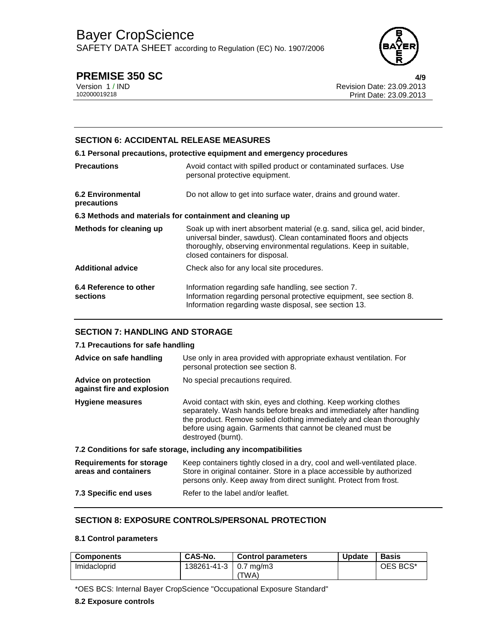SAFETY DATA SHEET according to Regulation (EC) No. 1907/2006



# **PREMISE 350 SC 4/9**

Version 1 / IND Revision Date: 23.09.2013 Print Date: 23.09.2013

# **SECTION 6: ACCIDENTAL RELEASE MEASURES**

## **6.1 Personal precautions, protective equipment and emergency procedures**

| <b>Precautions</b>                                        | Avoid contact with spilled product or contaminated surfaces. Use<br>personal protective equipment.                                                                                                                                                       |
|-----------------------------------------------------------|----------------------------------------------------------------------------------------------------------------------------------------------------------------------------------------------------------------------------------------------------------|
| 6.2 Environmental<br>precautions                          | Do not allow to get into surface water, drains and ground water.                                                                                                                                                                                         |
| 6.3 Methods and materials for containment and cleaning up |                                                                                                                                                                                                                                                          |
| Methods for cleaning up                                   | Soak up with inert absorbent material (e.g. sand, silica gel, acid binder,<br>universal binder, sawdust). Clean contaminated floors and objects<br>thoroughly, observing environmental regulations. Keep in suitable,<br>closed containers for disposal. |
| <b>Additional advice</b>                                  | Check also for any local site procedures.                                                                                                                                                                                                                |
| 6.4 Reference to other<br>sections                        | Information regarding safe handling, see section 7.<br>Information regarding personal protective equipment, see section 8.<br>Information regarding waste disposal, see section 13.                                                                      |

# **SECTION 7: HANDLING AND STORAGE**

# **7.1 Precautions for safe handling**

| Advice on safe handling                                   | Use only in area provided with appropriate exhaust ventilation. For<br>personal protection see section 8.                                                                                                                                                                                            |  |
|-----------------------------------------------------------|------------------------------------------------------------------------------------------------------------------------------------------------------------------------------------------------------------------------------------------------------------------------------------------------------|--|
| <b>Advice on protection</b><br>against fire and explosion | No special precautions required.                                                                                                                                                                                                                                                                     |  |
| <b>Hygiene measures</b>                                   | Avoid contact with skin, eyes and clothing. Keep working clothes<br>separately. Wash hands before breaks and immediately after handling<br>the product. Remove soiled clothing immediately and clean thoroughly<br>before using again. Garments that cannot be cleaned must be<br>destroyed (burnt). |  |
|                                                           | 7.2 Conditions for safe storage, including any incompatibilities                                                                                                                                                                                                                                     |  |
| <b>Requirements for storage</b><br>areas and containers   | Keep containers tightly closed in a dry, cool and well-ventilated place.<br>Store in original container. Store in a place accessible by authorized<br>persons only. Keep away from direct sunlight. Protect from frost.                                                                              |  |
| 7.3 Specific end uses                                     | Refer to the label and/or leaflet.                                                                                                                                                                                                                                                                   |  |

# **SECTION 8: EXPOSURE CONTROLS/PERSONAL PROTECTION**

## **8.1 Control parameters**

| <b>Components</b> | CAS-No.                 | <b>Control parameters</b> | <b>Update</b> | <b>Basis</b> |
|-------------------|-------------------------|---------------------------|---------------|--------------|
| Imidacloprid      | 138261-41-3   0.7 mg/m3 |                           |               | OES BCS*     |
|                   |                         | 'TWA)                     |               |              |

\*OES BCS: Internal Bayer CropScience "Occupational Exposure Standard"

### **8.2 Exposure controls**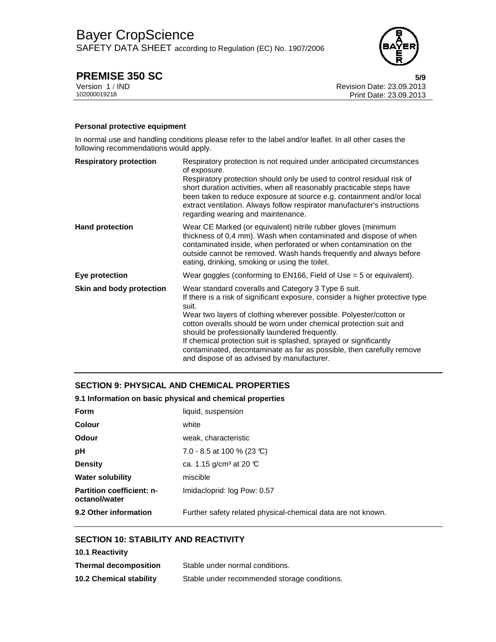SAFETY DATA SHEET according to Regulation (EC) No. 1907/2006



# **PREMISE 350 SC** 5/9

Version 1 / IND Revision Date: 23.09.2013 Print Date: 23.09.2013

## **Personal protective equipment**

In normal use and handling conditions please refer to the label and/or leaflet. In all other cases the following recommendations would apply.

| <b>Respiratory protection</b> | Respiratory protection is not required under anticipated circumstances<br>of exposure.                                                                                                                                                                                                                                                      |
|-------------------------------|---------------------------------------------------------------------------------------------------------------------------------------------------------------------------------------------------------------------------------------------------------------------------------------------------------------------------------------------|
|                               | Respiratory protection should only be used to control residual risk of<br>short duration activities, when all reasonably practicable steps have<br>been taken to reduce exposure at source e.g. containment and/or local<br>extract ventilation. Always follow respirator manufacturer's instructions<br>regarding wearing and maintenance. |
| <b>Hand protection</b>        | Wear CE Marked (or equivalent) nitrile rubber gloves (minimum<br>thickness of 0,4 mm). Wash when contaminated and dispose of when<br>contaminated inside, when perforated or when contamination on the<br>outside cannot be removed. Wash hands frequently and always before<br>eating, drinking, smoking or using the toilet.              |
| Eye protection                | Wear goggles (conforming to $EN166$ , Field of Use = 5 or equivalent).                                                                                                                                                                                                                                                                      |
| Skin and body protection      | Wear standard coveralls and Category 3 Type 6 suit.<br>If there is a risk of significant exposure, consider a higher protective type<br>suit.                                                                                                                                                                                               |
|                               | Wear two layers of clothing wherever possible. Polyester/cotton or                                                                                                                                                                                                                                                                          |
|                               | cotton overalls should be worn under chemical protection suit and<br>should be professionally laundered frequently.                                                                                                                                                                                                                         |
|                               | If chemical protection suit is splashed, sprayed or significantly                                                                                                                                                                                                                                                                           |
|                               | contaminated, decontaminate as far as possible, then carefully remove<br>and dispose of as advised by manufacturer.                                                                                                                                                                                                                         |

# **SECTION 9: PHYSICAL AND CHEMICAL PROPERTIES**

## **9.1 Information on basic physical and chemical properties**

| Form                                              | liquid, suspension                                           |
|---------------------------------------------------|--------------------------------------------------------------|
| Colour                                            | white                                                        |
| Odour                                             | weak, characteristic                                         |
| рH                                                | 7.0 - 8.5 at 100 % (23 °C)                                   |
| <b>Density</b>                                    | ca. 1.15 $q/cm^3$ at 20 °C                                   |
| Water solubility                                  | miscible                                                     |
| <b>Partition coefficient: n-</b><br>octanol/water | Imidacloprid: log Pow: 0.57                                  |
| 9.2 Other information                             | Further safety related physical-chemical data are not known. |

# **SECTION 10: STABILITY AND REACTIVITY**

| <b>10.1 Reactivity</b>         |                                              |
|--------------------------------|----------------------------------------------|
| <b>Thermal decomposition</b>   | Stable under normal conditions.              |
| <b>10.2 Chemical stability</b> | Stable under recommended storage conditions. |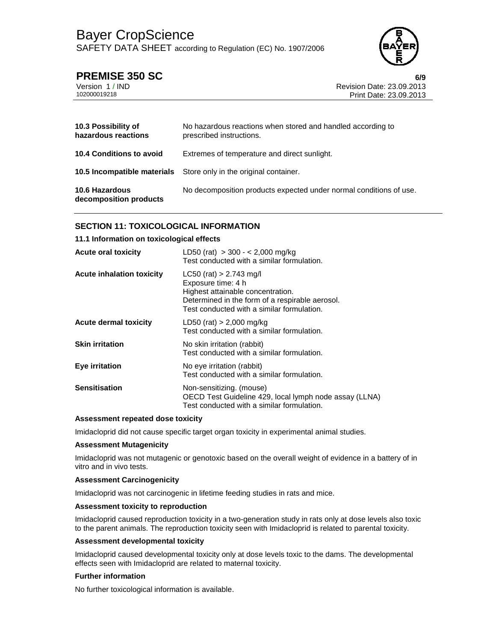SAFETY DATA SHEET according to Regulation (EC) No. 1907/2006



# **PREMISE 350 SC 6/9**

| Version 1/IND |  |  |
|---------------|--|--|
| 102000019218  |  |  |

Revision Date: 23.09.2013 102000019218 Print Date: 23.09.2013

| 10.3 Possibility of<br>hazardous reactions      | No hazardous reactions when stored and handled according to<br>prescribed instructions. |
|-------------------------------------------------|-----------------------------------------------------------------------------------------|
| <b>10.4 Conditions to avoid</b>                 | Extremes of temperature and direct sunlight.                                            |
|                                                 | <b>10.5 Incompatible materials</b> Store only in the original container.                |
| <b>10.6 Hazardous</b><br>decomposition products | No decomposition products expected under normal conditions of use.                      |

# **SECTION 11: TOXICOLOGICAL INFORMATION**

### **11.1 Information on toxicological effects**

| <b>Acute oral toxicity</b>       | LD50 (rat) $>$ 300 - < 2,000 mg/kg<br>Test conducted with a similar formulation.                                                                                                      |
|----------------------------------|---------------------------------------------------------------------------------------------------------------------------------------------------------------------------------------|
| <b>Acute inhalation toxicity</b> | $LC50$ (rat) > 2.743 mg/l<br>Exposure time: 4 h<br>Highest attainable concentration.<br>Determined in the form of a respirable aerosol.<br>Test conducted with a similar formulation. |
| Acute dermal toxicity            | $LD50$ (rat) > 2,000 mg/kg<br>Test conducted with a similar formulation.                                                                                                              |
| <b>Skin irritation</b>           | No skin irritation (rabbit)<br>Test conducted with a similar formulation.                                                                                                             |
| Eye irritation                   | No eye irritation (rabbit)<br>Test conducted with a similar formulation.                                                                                                              |
| <b>Sensitisation</b>             | Non-sensitizing. (mouse)<br>OECD Test Guideline 429, local lymph node assay (LLNA)<br>Test conducted with a similar formulation.                                                      |

#### **Assessment repeated dose toxicity**

Imidacloprid did not cause specific target organ toxicity in experimental animal studies.

#### **Assessment Mutagenicity**

Imidacloprid was not mutagenic or genotoxic based on the overall weight of evidence in a battery of in vitro and in vivo tests.

#### **Assessment Carcinogenicity**

Imidacloprid was not carcinogenic in lifetime feeding studies in rats and mice.

#### **Assessment toxicity to reproduction**

Imidacloprid caused reproduction toxicity in a two-generation study in rats only at dose levels also toxic to the parent animals. The reproduction toxicity seen with Imidacloprid is related to parental toxicity.

#### **Assessment developmental toxicity**

Imidacloprid caused developmental toxicity only at dose levels toxic to the dams. The developmental effects seen with Imidacloprid are related to maternal toxicity.

#### **Further information**

No further toxicological information is available.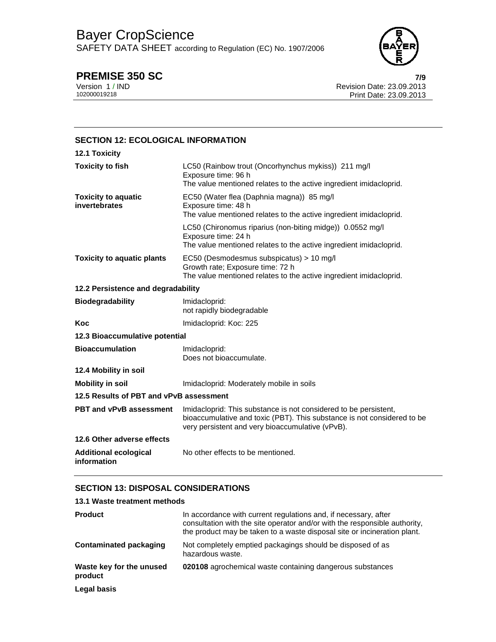SAFETY DATA SHEET according to Regulation (EC) No. 1907/2006



**PREMISE 350 SC 7/9** Version 1 / IND Revision Date: 23.09.2013 Print Date: 23.09.2013

| <b>SECTION 12: ECOLOGICAL INFORMATION</b>   |                                                                                                                                                                                                 |
|---------------------------------------------|-------------------------------------------------------------------------------------------------------------------------------------------------------------------------------------------------|
| 12.1 Toxicity                               |                                                                                                                                                                                                 |
| <b>Toxicity to fish</b>                     | LC50 (Rainbow trout (Oncorhynchus mykiss)) 211 mg/l<br>Exposure time: 96 h<br>The value mentioned relates to the active ingredient imidacloprid.                                                |
| <b>Toxicity to aquatic</b><br>invertebrates | EC50 (Water flea (Daphnia magna)) 85 mg/l<br>Exposure time: 48 h<br>The value mentioned relates to the active ingredient imidacloprid.                                                          |
|                                             | LC50 (Chironomus riparius (non-biting midge)) 0.0552 mg/l<br>Exposure time: 24 h<br>The value mentioned relates to the active ingredient imidacloprid.                                          |
| <b>Toxicity to aquatic plants</b>           | EC50 (Desmodesmus subspicatus) > 10 mg/l<br>Growth rate; Exposure time: 72 h<br>The value mentioned relates to the active ingredient imidacloprid.                                              |
| 12.2 Persistence and degradability          |                                                                                                                                                                                                 |
| <b>Biodegradability</b>                     | Imidacloprid:<br>not rapidly biodegradable                                                                                                                                                      |
| Koc                                         | Imidacloprid: Koc: 225                                                                                                                                                                          |
| 12.3 Bioaccumulative potential              |                                                                                                                                                                                                 |
| <b>Bioaccumulation</b>                      | Imidacloprid:<br>Does not bioaccumulate.                                                                                                                                                        |
| 12.4 Mobility in soil                       |                                                                                                                                                                                                 |
| <b>Mobility in soil</b>                     | Imidacloprid: Moderately mobile in soils                                                                                                                                                        |
| 12.5 Results of PBT and vPvB assessment     |                                                                                                                                                                                                 |
| PBT and vPvB assessment                     | Imidacloprid: This substance is not considered to be persistent,<br>bioaccumulative and toxic (PBT). This substance is not considered to be<br>very persistent and very bioaccumulative (vPvB). |
| 12.6 Other adverse effects                  |                                                                                                                                                                                                 |
| <b>Additional ecological</b><br>information | No other effects to be mentioned.                                                                                                                                                               |

# **SECTION 13: DISPOSAL CONSIDERATIONS**

| 13.1 Waste treatment methods        |                                                                                                                                                                                                                           |
|-------------------------------------|---------------------------------------------------------------------------------------------------------------------------------------------------------------------------------------------------------------------------|
| <b>Product</b>                      | In accordance with current regulations and, if necessary, after<br>consultation with the site operator and/or with the responsible authority,<br>the product may be taken to a waste disposal site or incineration plant. |
| Contaminated packaging              | Not completely emptied packagings should be disposed of as<br>hazardous waste.                                                                                                                                            |
| Waste key for the unused<br>product | 020108 agrochemical waste containing dangerous substances                                                                                                                                                                 |
| Legal basis                         |                                                                                                                                                                                                                           |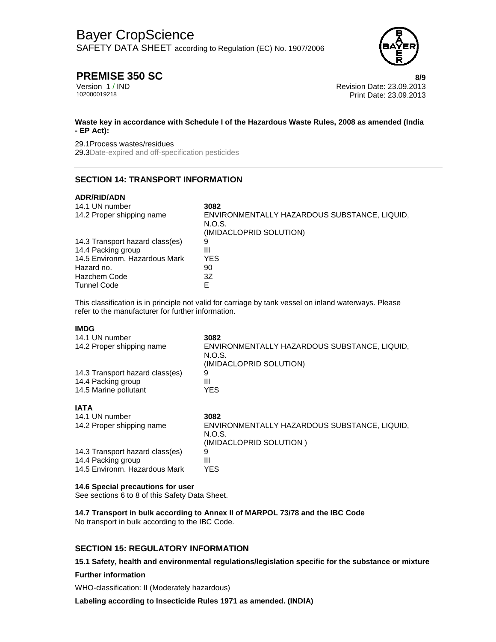SAFETY DATA SHEET according to Regulation (EC) No. 1907/2006



# **PREMISE 350 SC 8/9**

Version 1 / IND Revision Date: 23.09.2013 Print Date: 23.09.2013

### **Waste key in accordance with Schedule I of the Hazardous Waste Rules, 2008 as amended (India - EP Act):**

#### 29.1Process wastes/residues

29.3Date-expired and off-specification pesticides

# **SECTION 14: TRANSPORT INFORMATION**

### **ADR/RID/ADN**

| 14.1 UN number                  | 3082                                                                              |
|---------------------------------|-----------------------------------------------------------------------------------|
| 14.2 Proper shipping name       | ENVIRONMENTALLY HAZARDOUS SUBSTANCE, LIQUID,<br>N.O.S.<br>(IMIDACLOPRID SOLUTION) |
| 14.3 Transport hazard class(es) | 9                                                                                 |
| 14.4 Packing group              | Ш                                                                                 |
| 14.5 Environm. Hazardous Mark   | YES.                                                                              |
| Hazard no.                      | 90                                                                                |
| <b>Hazchem Code</b>             | 3Z                                                                                |
| <b>Tunnel Code</b>              |                                                                                   |

This classification is in principle not valid for carriage by tank vessel on inland waterways. Please refer to the manufacturer for further information.

## **IMDG**

| 14.1 UN number<br>14.2 Proper shipping name | 3082<br>ENVIRONMENTALLY HAZARDOUS SUBSTANCE, LIQUID,<br>N.O.S.<br>(IMIDACLOPRID SOLUTION) |
|---------------------------------------------|-------------------------------------------------------------------------------------------|
| 14.3 Transport hazard class(es)             | 9                                                                                         |
| 14.4 Packing group                          | Ш                                                                                         |
| 14.5 Marine pollutant                       | YES                                                                                       |
| IATA                                        |                                                                                           |
| 14.1 UN number                              | 3082                                                                                      |
| 14.2 Proper shipping name                   | ENVIRONMENTALLY HAZARDOUS SUBSTANCE, LIQUID,<br>N.O.S.<br>(IMIDACLOPRID SOLUTION)         |
| 14.3 Transport hazard class(es)             | 9                                                                                         |
| 14.4 Packing group                          | Ш                                                                                         |
| 14.5 Environm. Hazardous Mark               | YES                                                                                       |

#### **14.6 Special precautions for user**

See sections 6 to 8 of this Safety Data Sheet.

**14.7 Transport in bulk according to Annex II of MARPOL 73/78 and the IBC Code**  No transport in bulk according to the IBC Code.

# **SECTION 15: REGULATORY INFORMATION**

**15.1 Safety, health and environmental regulations/legislation specific for the substance or mixture** 

#### **Further information**

WHO-classification: II (Moderately hazardous)

**Labeling according to Insecticide Rules 1971 as amended. (INDIA)**